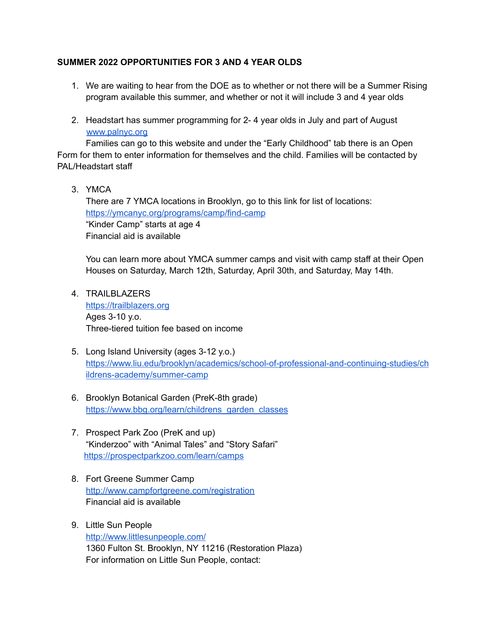## **SUMMER 2022 OPPORTUNITIES FOR 3 AND 4 YEAR OLDS**

- 1. We are waiting to hear from the DOE as to whether or not there will be a Summer Rising program available this summer, and whether or not it will include 3 and 4 year olds
- 2. Headstart has summer programming for 2- 4 year olds in July and part of August [www.palnyc.org](https://nam10.safelinks.protection.outlook.com/?url=http%3A%2F%2Fwww.palnyc.org%2F&data=04%7C01%7CKMensing%40schools.nyc.gov%7Cc859864c230040e3182808d9fdf7b222%7C18492cb7ef45456185710c42e5f7ac07%7C0%7C0%7C637820062564217975%7CUnknown%7CTWFpbGZsb3d8eyJWIjoiMC4wLjAwMDAiLCJQIjoiV2luMzIiLCJBTiI6Ik1haWwiLCJXVCI6Mn0%3D%7C3000&sdata=ap1AmO6VHCnDaVQqNc5wjTcEV407Z%2BvQwhO1WCF9hXE%3D&reserved=0)

Families can go to this website and under the "Early Childhood" tab there is an Open Form for them to enter information for themselves and the child. Families will be contacted by PAL/Headstart staff

3. YMCA

There are 7 YMCA locations in Brooklyn, go to this link for list of locations: <https://ymcanyc.org/programs/camp/find-camp> "Kinder Camp" starts at age 4 Financial aid is available

You can learn more about YMCA summer camps and visit with camp staff at their Open Houses on Saturday, March 12th, Saturday, April 30th, and Saturday, May 14th.

- 4. TRAILBLAZERS [https://trailblazers.org](https://trailblazers.org/) Ages 3-10 y.o. Three-tiered tuition fee based on income
- 5. Long Island University (ages 3-12 y.o.) [https://www.liu.edu/brooklyn/academics/school-of-professional-and-continuing-studies/ch](https://www.liu.edu/brooklyn/academics/school-of-professional-and-continuing-studies/childrens-academy/summer-camp) [ildrens-academy/summer-camp](https://www.liu.edu/brooklyn/academics/school-of-professional-and-continuing-studies/childrens-academy/summer-camp)
- 6. Brooklyn Botanical Garden (PreK-8th grade) [https://www.bbg.org/learn/childrens\\_garden\\_classes](https://www.bbg.org/learn/childrens_garden_classes)
- 7. Prospect Park Zoo (PreK and up) "Kinderzoo" with "Animal Tales" and "Story Safari" <https://prospectparkzoo.com/learn/camps>
- 8. Fort Greene Summer Camp <http://www.campfortgreene.com/registration> Financial aid is available
- 9. Little Sun People <http://www.littlesunpeople.com/> 1360 Fulton St. Brooklyn, NY 11216 (Restoration Plaza) For information on Little Sun People, contact: